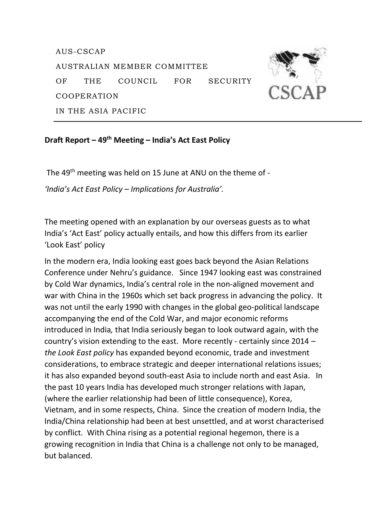AUS-CSCAP AUSTRALIAN MEMBER COMMITTEE OF THE COUNCIL FOR SECURITY COOPERATION IN THE ASIA PACIFIC

## **Draft Report – 49th Meeting – India's Act East Policy**

The 49th meeting was held on 15 June at ANU on the theme of - *'India's Act East Policy – Implications for Australia'.*

The meeting opened with an explanation by our overseas guests as to what India's 'Act East' policy actually entails, and how this differs from its earlier 'Look East' policy

In the modern era, India looking east goes back beyond the Asian Relations Conference under Nehru's guidance. Since 1947 looking east was constrained by Cold War dynamics, India's central role in the non-aligned movement and war with China in the 1960s which set back progress in advancing the policy. It was not until the early 1990 with changes in the global geo-political landscape accompanying the end of the Cold War, and major economic reforms introduced in India*,* that India seriously began to look outward again, with the country's vision extending to the east. More recently - certainly since 2014 *– the Look East policy* has expanded beyond economic, trade and investment considerations, to embrace strategic and deeper international relations issues; it has also expanded beyond south-east Asia to include north and east Asia. In the past 10 years India has developed much stronger relations with Japan, (where the earlier relationship had been of little consequence), Korea, Vietnam, and in some respects, China. Since the creation of modern India, the India/China relationship had been at best unsettled, and at worst characterised by conflict. With China rising as a potential regional hegemon, there is a growing recognition in India that China is a challenge not only to be managed, but balanced.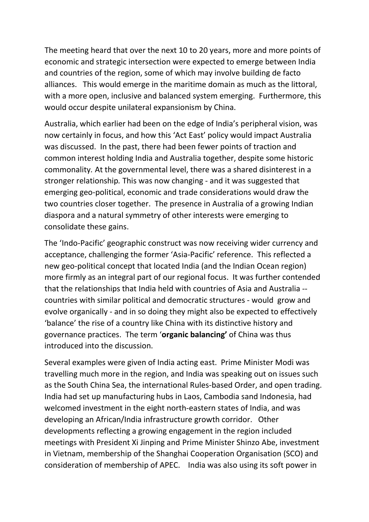The meeting heard that over the next 10 to 20 years, more and more points of economic and strategic intersection were expected to emerge between India and countries of the region, some of which may involve building de facto alliances. This would emerge in the maritime domain as much as the littoral, with a more open, inclusive and balanced system emerging. Furthermore, this would occur despite unilateral expansionism by China.

Australia, which earlier had been on the edge of India's peripheral vision, was now certainly in focus, and how this 'Act East' policy would impact Australia was discussed. In the past, there had been fewer points of traction and common interest holding India and Australia together, despite some historic commonality*.* At the governmental level, there was a shared disinterest in a stronger relationship*.* This was now changing - and it was suggested that emerging geo-political, economic and trade considerations would draw the two countries closer together. The presence in Australia of a growing Indian diaspora and a natural symmetry of other interests were emerging to consolidate these gains.

The 'Indo-Pacific' geographic construct was now receiving wider currency and acceptance, challenging the former 'Asia-Pacific' reference. This reflected a new geo-political concept that located India (and the Indian Ocean region) more firmly as an integral part of our regional focus. It was further contended that the relationships that India held with countries of Asia and Australia - countries with similar political and democratic structures - would grow and evolve organically - and in so doing they might also be expected to effectively 'balance' the rise of a country like China with its distinctive history and governance practices. The term '**organic balancing'** of China was thus introduced into the discussion.

Several examples were given of India acting east. Prime Minister Modi was travelling much more in the region, and India was speaking out on issues such as the South China Sea, the international Rules-based Order, and open trading. India had set up manufacturing hubs in Laos, Cambodia sand Indonesia, had welcomed investment in the eight north-eastern states of India, and was developing an African/India infrastructure growth corridor. Other developments reflecting a growing engagement in the region included meetings with President Xi Jinping and Prime Minister Shinzo Abe, investment in Vietnam, membership of the Shanghai Cooperation Organisation (SCO) and consideration of membership of APEC. India was also using its soft power in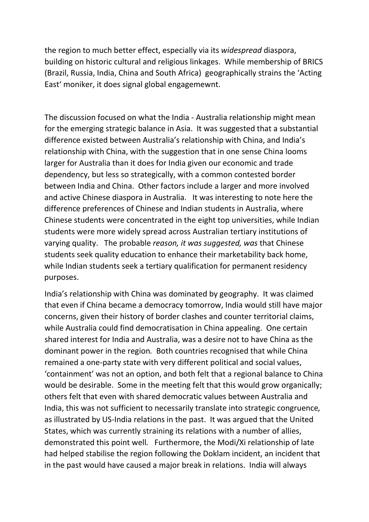the region to much better effect, especially via its *widespread* diaspora, building on historic cultural and religious linkages. While membership of BRICS (Brazil, Russia, India, China and South Africa) geographically strains the 'Acting East' moniker, it does signal global engagemewnt.

The discussion focused on what the India - Australia relationship might mean for the emerging strategic balance in Asia. It was suggested that a substantial difference existed between Australia's relationship with China, and India's relationship with China, with the suggestion that in one sense China looms larger for Australia than it does for India given our economic and trade dependency, but less so strategically, with a common contested border between India and China. Other factors include a larger and more involved and active Chinese diaspora in Australia. It was interesting to note here the difference preferences of Chinese and Indian students in Australia, where Chinese students were concentrated in the eight top universities, while Indian students were more widely spread across Australian tertiary institutions of varying quality. The probable *reason, it was suggested, was* that Chinese students seek quality education to enhance their marketability back home, while Indian students seek a tertiary qualification for permanent residency purposes.

India's relationship with China was dominated by geography. It was claimed that even if China became a democracy tomorrow, India would still have major concerns, given their history of border clashes and counter territorial claims, while Australia could find democratisation in China appealing. One certain shared interest for India and Australia, was a desire not to have China as the dominant power in the region*.* Both countries recognised that while China remained a one-party state with very different political and social values, 'containment' was not an option, and both felt that a regional balance to China would be desirable. Some in the meeting felt that this would grow organically; others felt that even with shared democratic values between Australia and India, this was not sufficient to necessarily translate into strategic congruence*,* as illustrated by US-India relations in the past. It was argued that the United States, which was currently straining its relations with a number of allies, demonstrated this point well*.* Furthermore, the Modi/Xi relationship of late had helped stabilise the region following the Doklam incident, an incident that in the past would have caused a major break in relations. India will always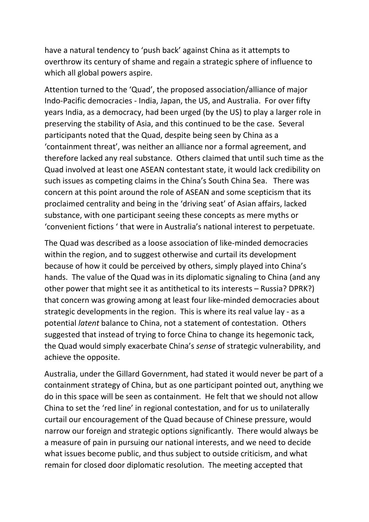have a natural tendency to 'push back' against China as it attempts to overthrow its century of shame and regain a strategic sphere of influence to which all global powers aspire.

Attention turned to the 'Quad', the proposed association/alliance of major Indo-Pacific democracies - India, Japan, the US, and Australia. For over fifty years India, as a democracy, had been urged (by the US) to play a larger role in preserving the stability of Asia, and this continued to be the case. Several participants noted that the Quad, despite being seen by China as a 'containment threat', was neither an alliance nor a formal agreement, and therefore lacked any real substance. Others claimed that until such time as the Quad involved at least one ASEAN contestant state, it would lack credibility on such issues as competing claims in the China's South China Sea. There was concern at this point around the role of ASEAN and some scepticism that its proclaimed centrality and being in the 'driving seat' of Asian affairs, lacked substance, with one participant seeing these concepts as mere myths or 'convenient fictions ' that were in Australia's national interest to perpetuate.

The Quad was described as a loose association of like-minded democracies within the region, and to suggest otherwise and curtail its development because of how it could be perceived by others, simply played into China's hands. The value of the Quad was in its diplomatic signaling to China (and any other power that might see it as antithetical to its interests – Russia? DPRK?) that concern was growing among at least four like-minded democracies about strategic developments in the region. This is where its real value lay - as a potential *latent* balance to China, not a statement of contestation. Others suggested that instead of trying to force China to change its hegemonic tack, the Quad would simply exacerbate China's *sense* of strategic vulnerability, and achieve the opposite.

Australia, under the Gillard Government, had stated it would never be part of a containment strategy of China, but as one participant pointed out, anything we do in this space will be seen as containment. He felt that we should not allow China to set the 'red line' in regional contestation, and for us to unilaterally curtail our encouragement of the Quad because of Chinese pressure, would narrow our foreign and strategic options significantly. There would always be a measure of pain in pursuing our national interests, and we need to decide what issues become public, and thus subject to outside criticism, and what remain for closed door diplomatic resolution. The meeting accepted that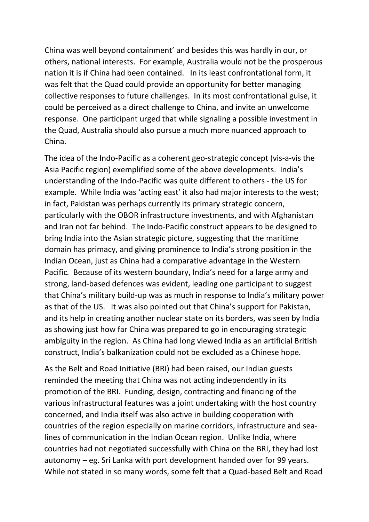China was well beyond containment' and besides this was hardly in our, or others, national interests. For example, Australia would not be the prosperous nation it is if China had been contained. In its least confrontational form, it was felt that the Quad could provide an opportunity for better managing collective responses to future challenges. In its most confrontational guise, it could be perceived as a direct challenge to China, and invite an unwelcome response. One participant urged that while signaling a possible investment in the Quad, Australia should also pursue a much more nuanced approach to China.

The idea of the Indo-Pacific as a coherent geo-strategic concept (vis-a-vis the Asia Pacific region) exemplified some of the above developments. India's understanding of the Indo-Pacific was quite different to others - the US for example. While India was 'acting east' it also had major interests to the west; in fact, Pakistan was perhaps currently its primary strategic concern, particularly with the OBOR infrastructure investments, and with Afghanistan and Iran not far behind. The Indo-Pacific construct appears to be designed to bring India into the Asian strategic picture, suggesting that the maritime domain has primacy, and giving prominence to India's strong position in the Indian Ocean, just as China had a comparative advantage in the Western Pacific*.* Because of its western boundary, India's need for a large army and strong, land-based defences was evident, leading one participant to suggest that China's military build-up was as much in response to India's military power as that of the US. It was also pointed out that China's support for Pakistan, and its help in creating another nuclear state on its borders, was seen by India as showing just how far China was prepared to go in encouraging strategic ambiguity in the region. As China had long viewed India as an artificial British construct, India's balkanization could not be excluded as a Chinese hope*.*

As the Belt and Road Initiative (BRI) had been raised, our Indian guests reminded the meeting that China was not acting independently in its promotion of the BRI. Funding, design, contracting and financing of the various infrastructural features was a joint undertaking with the host country concerned, and India itself was also active in building cooperation with countries of the region especially on marine corridors, infrastructure and sealines of communication in the Indian Ocean region. Unlike India, where countries had not negotiated successfully with China on the BRI, they had lost autonomy – eg. Sri Lanka with port development handed over for 99 years. While not stated in so many words, some felt that a Quad-based Belt and Road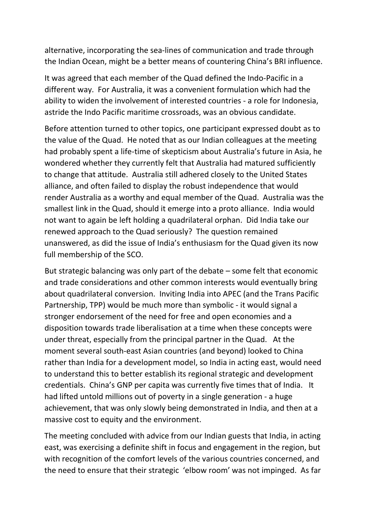alternative, incorporating the sea-lines of communication and trade through the Indian Ocean, might be a better means of countering China's BRI influence.

It was agreed that each member of the Quad defined the Indo-Pacific in a different way. For Australia, it was a convenient formulation which had the ability to widen the involvement of interested countries - a role for Indonesia, astride the Indo Pacific maritime crossroads, was an obvious candidate.

Before attention turned to other topics, one participant expressed doubt as to the value of the Quad. He noted that as our Indian colleagues at the meeting had probably spent a life-time of skepticism about Australia's future in Asia, he wondered whether they currently felt that Australia had matured sufficiently to change that attitude. Australia still adhered closely to the United States alliance, and often failed to display the robust independence that would render Australia as a worthy and equal member of the Quad. Australia was the smallest link in the Quad, should it emerge into a proto alliance. India would not want to again be left holding a quadrilateral orphan. Did India take our renewed approach to the Quad seriously? The question remained unanswered, as did the issue of India's enthusiasm for the Quad given its now full membership of the SCO.

But strategic balancing was only part of the debate – some felt that economic and trade considerations and other common interests would eventually bring about quadrilateral conversion. Inviting India into APEC (and the Trans Pacific Partnership, TPP) would be much more than symbolic - it would signal a stronger endorsement of the need for free and open economies and a disposition towards trade liberalisation at a time when these concepts were under threat, especially from the principal partner in the Quad. At the moment several south-east Asian countries (and beyond) looked to China rather than India for a development model, so India in acting east, would need to understand this to better establish its regional strategic and development credentials. China's GNP per capita was currently five times that of India. It had lifted untold millions out of poverty in a single generation - a huge achievement, that was only slowly being demonstrated in India, and then at a massive cost to equity and the environment.

The meeting concluded with advice from our Indian guests that India, in acting east, was exercising a definite shift in focus and engagement in the region, but with recognition of the comfort levels of the various countries concerned, and the need to ensure that their strategic 'elbow room' was not impinged. As far